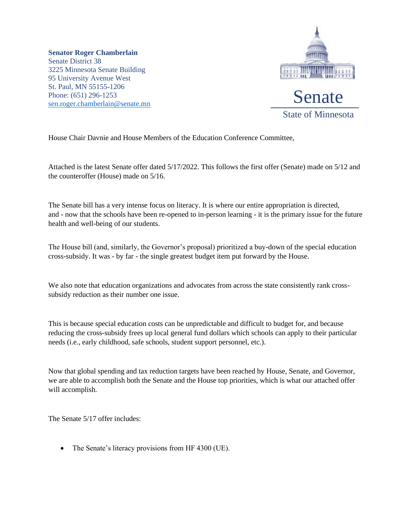**Senator Roger Chamberlain** Senate District 38 3225 Minnesota Senate Building 95 University Avenue West St. Paul, MN 55155-1206 Phone: (651) 296-1253 [sen.roger.chamberlain@senate.mn](mailto:sen.roger.chamberlain@senate.mn)



House Chair Davnie and House Members of the Education Conference Committee,

Attached is the latest Senate offer dated 5/17/2022. This follows the first offer (Senate) made on 5/12 and the counteroffer (House) made on 5/16.

The Senate bill has a very intense focus on literacy. It is where our entire appropriation is directed, and - now that the schools have been re-opened to in-person learning - it is the primary issue for the future health and well-being of our students.

The House bill (and, similarly, the Governor's proposal) prioritized a buy-down of the special education cross-subsidy. It was - by far - the single greatest budget item put forward by the House.

We also note that education organizations and advocates from across the state consistently rank crosssubsidy reduction as their number one issue.

This is because special education costs can be unpredictable and difficult to budget for, and because reducing the cross-subsidy frees up local general fund dollars which schools can apply to their particular needs (i.e., early childhood, safe schools, student support personnel, etc.).

Now that global spending and tax reduction targets have been reached by House, Senate, and Governor, we are able to accomplish both the Senate and the House top priorities, which is what our attached offer will accomplish.

The Senate 5/17 offer includes:

• The Senate's literacy provisions from HF 4300 (UE).